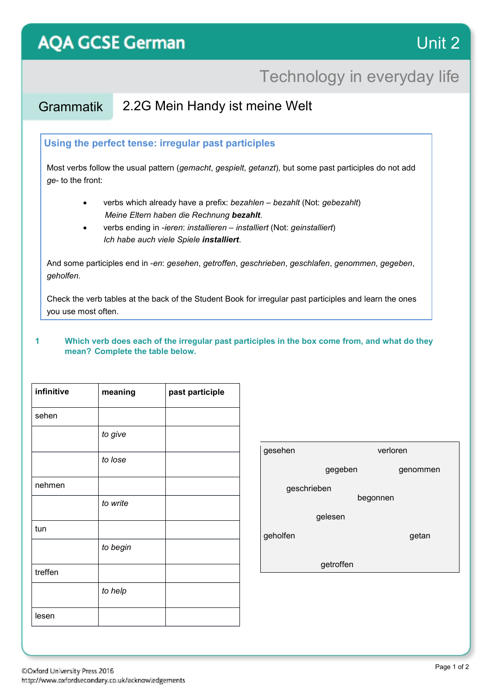# **AQA GCSE German**

### Technology in everyday life

### Grammatik 2.2G Mein Handy ist meine Welt

#### **Using the perfect tense: irregular past participles**

Most verbs follow the usual pattern (*gemacht*, *gespielt*, *getanzt*)*,* but some past participles do not add *ge-* to the front:

- verbs which already have a prefix: *bezahlen – bezahlt* (Not: *gebezahlt*) *Meine Eltern haben die Rechnung bezahlt*.
- verbs ending in *-ieren*: *installieren – installiert* (Not: *geinstalliert*)  *Ich habe auch viele Spiele installiert*.

And some participles end in -*en*: *gesehen*, *getroffen*, *geschrieben*, *geschlafen*, *genommen*, *gegeben*, *geholfen*.

Check the verb tables at the back of the Student Book for irregular past participles and learn the ones you use most often.

#### **1 Which verb does each of the irregular past participles in the box come from, and what do they mean? Complete the table below.**

| infinitive | meaning  | past participle |
|------------|----------|-----------------|
| sehen      |          |                 |
|            | to give  |                 |
|            | to lose  |                 |
| nehmen     |          |                 |
|            | to write |                 |
| tun        |          |                 |
|            | to begin |                 |
| treffen    |          |                 |
|            | to help  |                 |
| lesen      |          |                 |

| gesehen                 | verloren |          |  |  |
|-------------------------|----------|----------|--|--|
|                         | gegeben  | genommen |  |  |
| geschrieben<br>begonnen |          |          |  |  |
|                         | gelesen  |          |  |  |
| geholfen                |          | getan    |  |  |
| getroffen               |          |          |  |  |